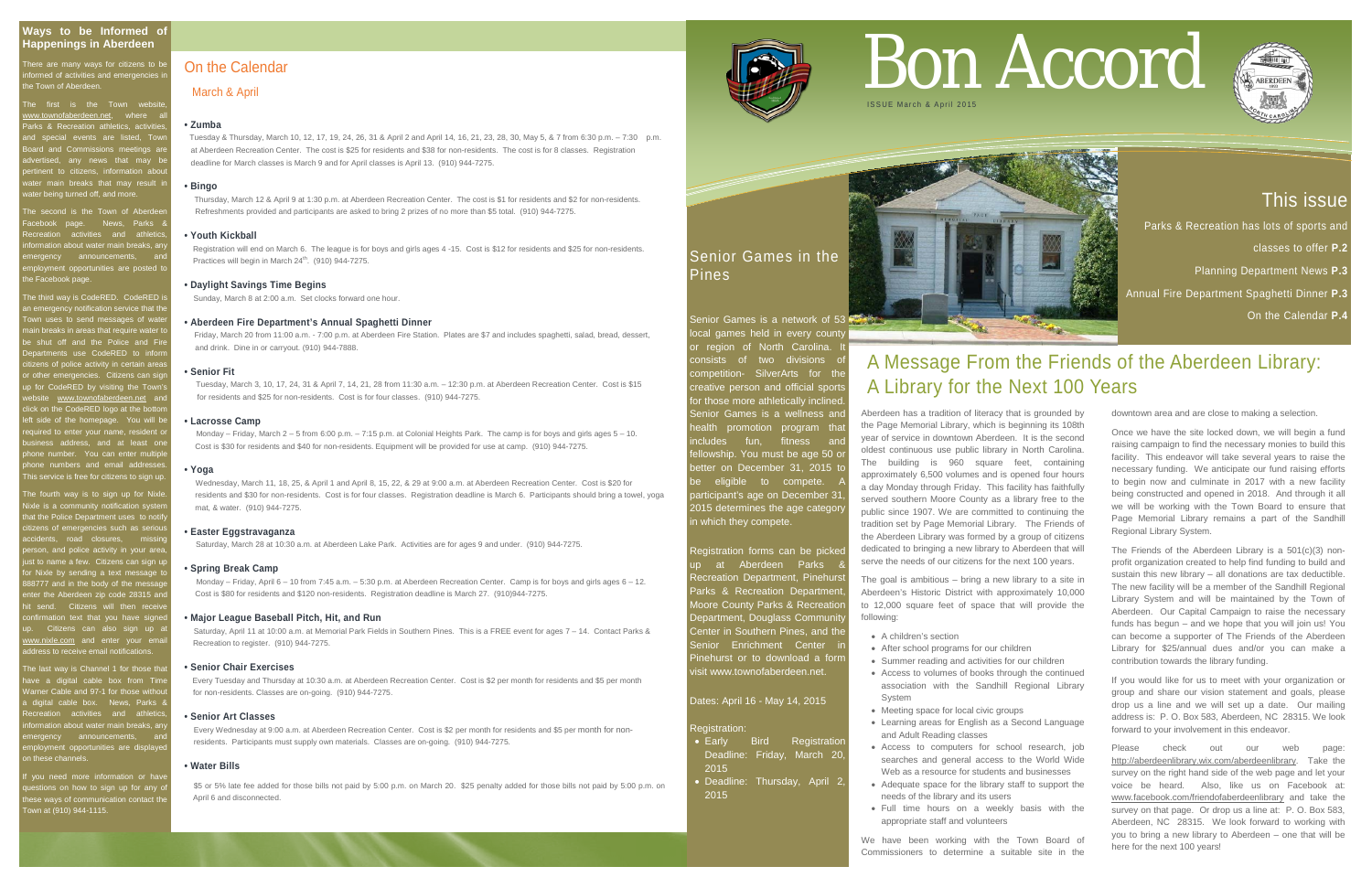# This issue

Parks & Recreation has lots of sports and classes to offer **P.2**  Planning Department News **P.3** Annual Fire Department Spaghetti Dinner **P.3**

There are many ways for citizens to be informed of activities and emergencies in he Town of Aberdeen.

On the Calendar **P.4**

The first is the Town websit ww.townofaberdeen.net, where  $\blacksquare$ arks & Recreation athletics, activitie nd special events are listed, Tow Board and Commissions meetings are advertised, any news that may be pertinent to citizens, information about water main breaks that may result in water being turned off, and more.

ne second is the Town of Aberd k page. News, Parks &  $rac{1}{2}$  activities and athletics irmation about water main breaks, an ergency announcements, and nt opportunities are posted to he Facebook page.

The third way is CodeRED. CodeRED is an emergency notification service that the Town uses to send messages of water main breaks in areas that require water to be shut off and the Police and Fire oartments use CodeRED to inform .<br>zens of police activity in certain area other emergencies. Citizens can sig p for CodeRED by visiting the Town's ebsite <u>[www.townofaberdeen.net](http://www.townofaberdeen.net/)</u> an ick on the CodeRED logo at the bot left side of the homepage. You will be required to enter your name, resident or business address, and at least one phone number. You can enter multiple e numbers and email addresse nis service is free for citizens to sign up.

ne fourth way is to sign up for Nixle. ixle is a community notification syste at the Police Department uses to not citizens of emergencies such as serious accidents, road closures, missing person, and police activity in your area, just to name a few. Citizens can sign up for Nixle by sending a text message to 888777 and in the body of the message ter the Aberdeen zip code 28315 and send. Citizens will then receivel nation text that you have signe Citizens can also sign up at [www.nixle.com](http://www.nixle.com/) and enter your email address to receive email notifications.

he last way is Channel 1 for those that have a digital cable box from Time Warner Cable and 97-1 for those without a cable box. News, Parks activities and athletic **information about water main breaks, an** ergency announcements, and ployment opportunities are displaye of these channels

you need more information or hav estions on how to sign up for any o these ways of communication contact the Town at (910) 944-1115.

Senior Games is a network of 53 local games held in every county or region of North Carolina. It consists of two divisions o competition- SilverArts for the creative person and official sports for those more athletically inclined. Senior Games is a wellness and ealth promotion program that includes fun, fitness and ellowship. You must be age 50 or better on December 31, 2015 to be eligible to compete. participant's age on December 31, 2015 determines the age categor in which they compete.

Registration forms can be picked up at Aberdeen Parks & Recreation Department, Pinehurst Parks & Recreation Department Moore County Parks & Recreatior Department, Douglass Community Center in Southern Pines, and the Senior Enrichment Center in Pinehurst or to download a form visit www.townofaberdeen.net.

- Early Bird Registration Deadline: Friday, March 20, 2015
- Deadline: Thursday, April 2, 2015

 Registration will end on March 6. The league is for boys and girls ages 4 -15. Cost is \$12 for residents and \$25 for non-residents. Practices will begin in March 24<sup>th</sup>. (910) 944-7275.

Senior Games in the Pines

### Dates: April 16 - May 14, 2015

### **Registration**

# On the Calendar

### March & April

### **• Zumba**

Tuesday & Thursday, March 10, 12, 17, 19, 24, 26, 31 & April 2 and April 14, 16, 21, 23, 28, 30, May 5, & 7 from 6:30 p.m. – 7:30 p.m. at Aberdeen Recreation Center. The cost is \$25 for residents and \$38 for non-residents. The cost is for 8 classes. Registration deadline for March classes is March 9 and for April classes is April 13. (910) 944-7275.

### **• Bingo**

Thursday, March 12 & April 9 at 1:30 p.m. at Aberdeen Recreation Center. The cost is \$1 for residents and \$2 for non-residents. Refreshments provided and participants are asked to bring 2 prizes of no more than \$5 total. (910) 944-7275.

### **• Youth Kickball**

### **• Daylight Savings Time Begins**

Sunday, March 8 at 2:00 a.m. Set clocks forward one hour.

### **• Aberdeen Fire Department's Annual Spaghetti Dinner**

Friday, March 20 from 11:00 a.m. - 7:00 p.m. at Aberdeen Fire Station. Plates are \$7 and includes spaghetti, salad, bread, dessert, and drink. Dine in or carryout. (910) 944-7888.

### **• Senior Fit**

 Tuesday, March 3, 10, 17, 24, 31 & April 7, 14, 21, 28 from 11:30 a.m. – 12:30 p.m. at Aberdeen Recreation Center. Cost is \$15 for residents and \$25 for non-residents. Cost is for four classes. (910) 944-7275.

### **• Lacrosse Camp**

 Monday – Friday, March 2 – 5 from 6:00 p.m. – 7:15 p.m. at Colonial Heights Park. The camp is for boys and girls ages 5 – 10. Cost is \$30 for residents and \$40 for non-residents. Equipment will be provided for use at camp. (910) 944-7275.

> Please check out our web page: [http://aberdeenlibrary.wix.com/aberdeenlibrary.](http://aberdeenlibrary.wix.com/aberdeenlibrary) Take the survey on the right hand side of the web page and let your voice be heard. Also, like us on Facebook at: [www.facebook.com/friendofaberdeenlibrary](http://www.facebook.com/friendofaberdeenlibrary) and take the survey on that page. Or drop us a line at: P. O. Box 583, Aberdeen, NC 28315. We look forward to working with you to bring a new library to Aberdeen – one that will be here for the next 100 years!

### **• Yoga**

 Wednesday, March 11, 18, 25, & April 1 and April 8, 15, 22, & 29 at 9:00 a.m. at Aberdeen Recreation Center. Cost is \$20 for residents and \$30 for non-residents. Cost is for four classes. Registration deadline is March 6. Participants should bring a towel, yoga mat, & water. (910) 944-7275.

### **• Easter Eggstravaganza**

Saturday, March 28 at 10:30 a.m. at Aberdeen Lake Park. Activities are for ages 9 and under. (910) 944-7275.

#### **• Spring Break Camp**

 Monday – Friday, April 6 – 10 from 7:45 a.m. – 5:30 p.m. at Aberdeen Recreation Center. Camp is for boys and girls ages 6 – 12. Cost is \$80 for residents and \$120 non-residents. Registration deadline is March 27. (910)944-7275.

### **• Major League Baseball Pitch, Hit, and Run**

 Saturday, April 11 at 10:00 a.m. at Memorial Park Fields in Southern Pines. This is a FREE event for ages 7 – 14. Contact Parks & Recreation to register. (910) 944-7275.

### **• Senior Chair Exercises**

Every Tuesday and Thursday at 10:30 a.m. at Aberdeen Recreation Center. Cost is \$2 per month for residents and \$5 per month for non-residents. Classes are on-going. (910) 944-7275.

### **• Senior Art Classes**

 Every Wednesday at 9:00 a.m. at Aberdeen Recreation Center. Cost is \$2 per month for residents and \$5 per month for non residents. Participants must supply own materials. Classes are on-going. (910) 944-7275.

### **• Water Bills**

 \$5 or 5% late fee added for those bills not paid by 5:00 p.m. on March 20. \$25 penalty added for those bills not paid by 5:00 p.m. on April 6 and disconnected.



# Bon Accord





# A Message From the Friends of the Aberdeen Library:

# A Library for the Next 100 Years

Aberdeen has a tradition of literacy that is grounded by the Page Memorial Library, which is beginning its 108th year of service in downtown Aberdeen. It is the second oldest continuous use public library in North Carolina. The building is 960 square feet, containing approximately 6,500 volumes and is opened four hours a day Monday through Friday. This facility has faithfully served southern Moore County as a library free to the public since 1907. We are committed to continuing the tradition set by Page Memorial Library. The Friends of the Aberdeen Library was formed by a group of citizens dedicated to bringing a new library to Aberdeen that will serve the needs of our citizens for the next 100 years.

The goal is ambitious – bring a new library to a site in Aberdeen's Historic District with approximately 10,000 to 12,000 square feet of space that will provide the following:

- A children's section
- After school programs for our children
- Summer reading and activities for our children
- Access to volumes of books through the continued association with the Sandhill Regional Library System
- Meeting space for local civic groups
- Learning areas for English as a Second Language and Adult Reading classes
- Access to computers for school research, job searches and general access to the World Wide Web as a resource for students and businesses
- Adequate space for the library staff to support the needs of the library and its users
- Full time hours on a weekly basis with the appropriate staff and volunteers

We have been working with the Town Board of Commissioners to determine a suitable site in the downtown area and are close to making a selection.

Once we have the site locked down, we will begin a fund raising campaign to find the necessary monies to build this facility. This endeavor will take several years to raise the necessary funding. We anticipate our fund raising efforts to begin now and culminate in 2017 with a new facility being constructed and opened in 2018. And through it all we will be working with the Town Board to ensure that Page Memorial Library remains a part of the Sandhill Regional Library System.

The Friends of the Aberdeen Library is a 501(c)(3) nonprofit organization created to help find funding to build and sustain this new library – all donations are tax deductible. The new facility will be a member of the Sandhill Regional Library System and will be maintained by the Town of Aberdeen. Our Capital Campaign to raise the necessary funds has begun – and we hope that you will join us! You can become a supporter of The Friends of the Aberdeen Library for \$25/annual dues and/or you can make a contribution towards the library funding.

If you would like for us to meet with your organization or group and share our vision statement and goals, please drop us a line and we will set up a date. Our mailing address is: P. O. Box 583, Aberdeen, NC 28315. We look forward to your involvement in this endeavor.